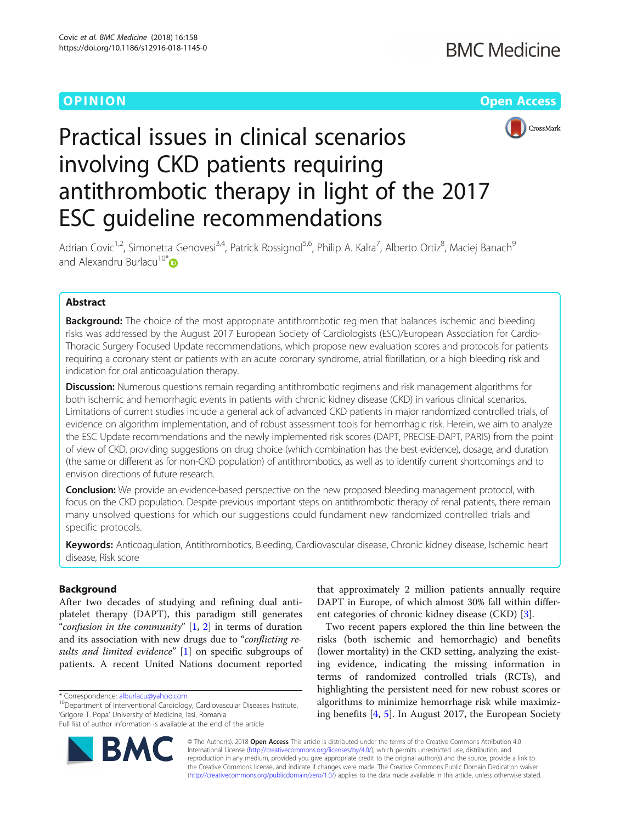



# Practical issues in clinical scenarios involving CKD patients requiring antithrombotic therapy in light of the 2017 ESC guideline recommendations

Adrian Covic<sup>1,2</sup>, Simonetta Genovesi<sup>3,4</sup>, Patrick Rossignol<sup>5,6</sup>, Philip A. Kalra<sup>7</sup>, Alberto Ortiz<sup>8</sup>, Maciej Banach<sup>9</sup> and Alexandru Burlacu<sup>10[\\*](http://orcid.org/0000-0002-3424-1588)</sup>

# Abstract

**Background:** The choice of the most appropriate antithrombotic regimen that balances ischemic and bleeding risks was addressed by the August 2017 European Society of Cardiologists (ESC)/European Association for Cardio-Thoracic Surgery Focused Update recommendations, which propose new evaluation scores and protocols for patients requiring a coronary stent or patients with an acute coronary syndrome, atrial fibrillation, or a high bleeding risk and indication for oral anticoagulation therapy.

Discussion: Numerous questions remain regarding antithrombotic regimens and risk management algorithms for both ischemic and hemorrhagic events in patients with chronic kidney disease (CKD) in various clinical scenarios. Limitations of current studies include a general ack of advanced CKD patients in major randomized controlled trials, of evidence on algorithm implementation, and of robust assessment tools for hemorrhagic risk. Herein, we aim to analyze the ESC Update recommendations and the newly implemented risk scores (DAPT, PRECISE-DAPT, PARIS) from the point of view of CKD, providing suggestions on drug choice (which combination has the best evidence), dosage, and duration (the same or different as for non-CKD population) of antithrombotics, as well as to identify current shortcomings and to envision directions of future research.

**Conclusion:** We provide an evidence-based perspective on the new proposed bleeding management protocol, with focus on the CKD population. Despite previous important steps on antithrombotic therapy of renal patients, there remain many unsolved questions for which our suggestions could fundament new randomized controlled trials and specific protocols.

Keywords: Anticoagulation, Antithrombotics, Bleeding, Cardiovascular disease, Chronic kidney disease, Ischemic heart disease, Risk score

# Background

After two decades of studying and refining dual antiplatelet therapy (DAPT), this paradigm still generates "confusion in the community"  $[1, 2]$  $[1, 2]$  $[1, 2]$  $[1, 2]$  in terms of duration and its association with new drugs due to "conflicting re-sults and limited evidence" [\[1](#page-9-0)] on specific subgroups of patients. A recent United Nations document reported

Full list of author information is available at the end of the article



that approximately 2 million patients annually require DAPT in Europe, of which almost 30% fall within different categories of chronic kidney disease (CKD) [\[3](#page-9-0)].

Two recent papers explored the thin line between the risks (both ischemic and hemorrhagic) and benefits (lower mortality) in the CKD setting, analyzing the existing evidence, indicating the missing information in terms of randomized controlled trials (RCTs), and highlighting the persistent need for new robust scores or algorithms to minimize hemorrhage risk while maximizing benefits [[4,](#page-9-0) [5\]](#page-9-0). In August 2017, the European Society

© The Author(s). 2018 Open Access This article is distributed under the terms of the Creative Commons Attribution 4.0 International License [\(http://creativecommons.org/licenses/by/4.0/](http://creativecommons.org/licenses/by/4.0/)), which permits unrestricted use, distribution, and reproduction in any medium, provided you give appropriate credit to the original author(s) and the source, provide a link to the Creative Commons license, and indicate if changes were made. The Creative Commons Public Domain Dedication waiver [\(http://creativecommons.org/publicdomain/zero/1.0/](http://creativecommons.org/publicdomain/zero/1.0/)) applies to the data made available in this article, unless otherwise stated.

 $*$  Correspondence: [alburlacu@yahoo.com](mailto:alburlacu@yahoo.com)<br><sup>10</sup>Department of Interventional Cardiology, Cardiovascular Diseases Institute, 'Grigore T. Popa' University of Medicine, Iasi, Romania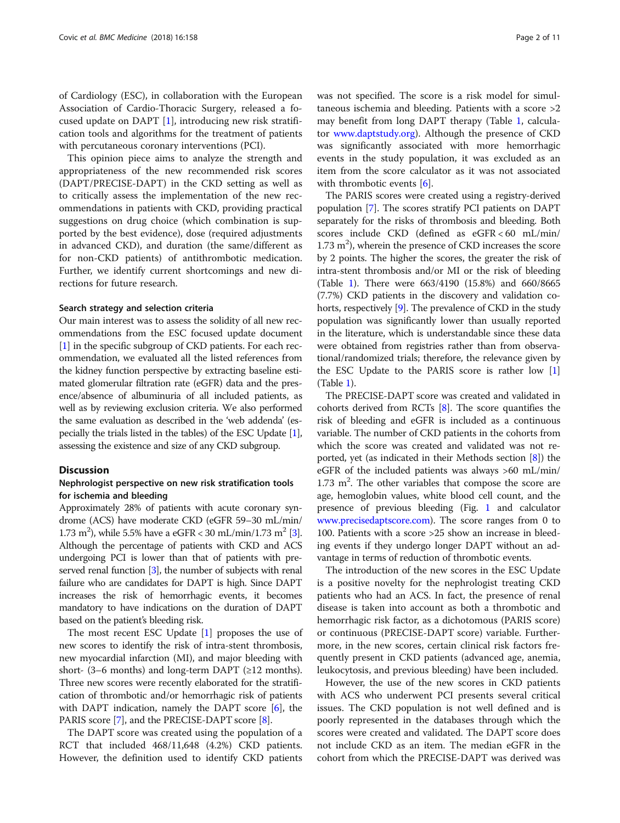of Cardiology (ESC), in collaboration with the European Association of Cardio-Thoracic Surgery, released a focused update on DAPT [\[1](#page-9-0)], introducing new risk stratification tools and algorithms for the treatment of patients with percutaneous coronary interventions (PCI).

This opinion piece aims to analyze the strength and appropriateness of the new recommended risk scores (DAPT/PRECISE-DAPT) in the CKD setting as well as to critically assess the implementation of the new recommendations in patients with CKD, providing practical suggestions on drug choice (which combination is supported by the best evidence), dose (required adjustments in advanced CKD), and duration (the same/different as for non-CKD patients) of antithrombotic medication. Further, we identify current shortcomings and new directions for future research.

#### Search strategy and selection criteria

Our main interest was to assess the solidity of all new recommendations from the ESC focused update document [[1\]](#page-9-0) in the specific subgroup of CKD patients. For each recommendation, we evaluated all the listed references from the kidney function perspective by extracting baseline estimated glomerular filtration rate (eGFR) data and the presence/absence of albuminuria of all included patients, as well as by reviewing exclusion criteria. We also performed the same evaluation as described in the 'web addenda' (especially the trials listed in the tables) of the ESC Update [[1](#page-9-0)], assessing the existence and size of any CKD subgroup.

# **Discussion**

## Nephrologist perspective on new risk stratification tools for ischemia and bleeding

Approximately 28% of patients with acute coronary syndrome (ACS) have moderate CKD (eGFR 59–30 mL/min/ 1.7[3](#page-9-0) m<sup>2</sup>), while 5.5% have a eGFR < 30 mL/min/1.73 m<sup>2</sup> [3]. Although the percentage of patients with CKD and ACS undergoing PCI is lower than that of patients with preserved renal function [\[3](#page-9-0)], the number of subjects with renal failure who are candidates for DAPT is high. Since DAPT increases the risk of hemorrhagic events, it becomes mandatory to have indications on the duration of DAPT based on the patient's bleeding risk.

The most recent ESC Update [\[1](#page-9-0)] proposes the use of new scores to identify the risk of intra-stent thrombosis, new myocardial infarction (MI), and major bleeding with short- (3–6 months) and long-term DAPT ( $\geq$ 12 months). Three new scores were recently elaborated for the stratification of thrombotic and/or hemorrhagic risk of patients with DAPT indication, namely the DAPT score [\[6](#page-9-0)], the PARIS score [[7\]](#page-9-0), and the PRECISE-DAPT score [[8\]](#page-9-0).

The DAPT score was created using the population of a RCT that included 468/11,648 (4.2%) CKD patients. However, the definition used to identify CKD patients

was not specified. The score is a risk model for simultaneous ischemia and bleeding. Patients with a score >2 may benefit from long DAPT therapy (Table [1,](#page-2-0) calculator [www.daptstudy.org\)](http://www.daptstudy.org). Although the presence of CKD was significantly associated with more hemorrhagic events in the study population, it was excluded as an item from the score calculator as it was not associated with thrombotic events [\[6](#page-9-0)].

The PARIS scores were created using a registry-derived population [\[7](#page-9-0)]. The scores stratify PCI patients on DAPT separately for the risks of thrombosis and bleeding. Both scores include CKD (defined as eGFR < 60 mL/min/ 1.73 m<sup>2</sup>), wherein the presence of CKD increases the score by 2 points. The higher the scores, the greater the risk of intra-stent thrombosis and/or MI or the risk of bleeding (Table [1\)](#page-2-0). There were 663/4190 (15.8%) and 660/8665 (7.7%) CKD patients in the discovery and validation cohorts, respectively [\[9](#page-9-0)]. The prevalence of CKD in the study population was significantly lower than usually reported in the literature, which is understandable since these data were obtained from registries rather than from observational/randomized trials; therefore, the relevance given by the ESC Update to the PARIS score is rather low [[1](#page-9-0)] (Table [1\)](#page-2-0).

The PRECISE-DAPT score was created and validated in cohorts derived from RCTs [[8](#page-9-0)]. The score quantifies the risk of bleeding and eGFR is included as a continuous variable. The number of CKD patients in the cohorts from which the score was created and validated was not reported, yet (as indicated in their Methods section [[8](#page-9-0)]) the eGFR of the included patients was always >60 mL/min/  $1.73$  m<sup>2</sup>. The other variables that compose the score are age, hemoglobin values, white blood cell count, and the presence of previous bleeding (Fig. [1](#page-2-0) and calculator [www.precisedaptscore.com](http://www.precisedaptscore.com)). The score ranges from 0 to 100. Patients with a score >25 show an increase in bleeding events if they undergo longer DAPT without an advantage in terms of reduction of thrombotic events.

The introduction of the new scores in the ESC Update is a positive novelty for the nephrologist treating CKD patients who had an ACS. In fact, the presence of renal disease is taken into account as both a thrombotic and hemorrhagic risk factor, as a dichotomous (PARIS score) or continuous (PRECISE-DAPT score) variable. Furthermore, in the new scores, certain clinical risk factors frequently present in CKD patients (advanced age, anemia, leukocytosis, and previous bleeding) have been included.

However, the use of the new scores in CKD patients with ACS who underwent PCI presents several critical issues. The CKD population is not well defined and is poorly represented in the databases through which the scores were created and validated. The DAPT score does not include CKD as an item. The median eGFR in the cohort from which the PRECISE-DAPT was derived was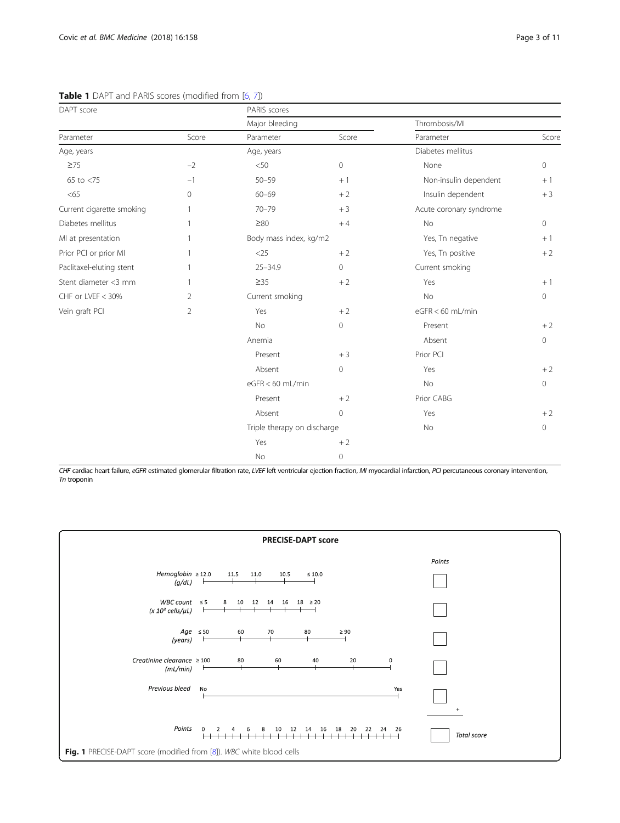| DAPT score                |                | PARIS scores                |       |                         |       |
|---------------------------|----------------|-----------------------------|-------|-------------------------|-------|
|                           |                | Major bleeding              |       | Thrombosis/MI           |       |
| Parameter                 | Score          | Parameter                   | Score | Parameter               | Score |
| Age, years                |                | Age, years                  |       | Diabetes mellitus       |       |
| $\geq 75$                 | $-2$           | < 50                        | 0     | None                    | 0     |
| 65 to $<$ 75              | $-1$           | $50 - 59$                   | $+1$  | Non-insulin dependent   | $+1$  |
| <65                       | 0              | $60 - 69$                   | $+2$  | Insulin dependent       | $+3$  |
| Current cigarette smoking | 1              | $70 - 79$                   | $+3$  | Acute coronary syndrome |       |
| Diabetes mellitus         | 1              | $\geq\!\!80$                | $+4$  | No                      | 0     |
| MI at presentation        | 1              | Body mass index, kg/m2      |       | Yes, Tn negative        | $+1$  |
| Prior PCI or prior MI     | 1              | $<$ 25                      | $+2$  | Yes, Tn positive        | $+2$  |
| Paclitaxel-eluting stent  | 1              | $25 - 34.9$                 | 0     | Current smoking         |       |
| Stent diameter <3 mm      | 1              | $\geq$ 35                   | $+2$  | Yes                     | $+1$  |
| CHF or LVEF < 30%         | 2              | Current smoking             |       | No                      | 0     |
| Vein graft PCI            | $\overline{2}$ | Yes                         | $+2$  | $eGFR < 60$ mL/min      |       |
|                           |                | No                          | 0     | Present                 | $+2$  |
|                           |                | Anemia                      |       | Absent                  | 0     |
|                           |                | Present                     | $+3$  | Prior PCI               |       |
|                           |                | Absent                      | 0     | Yes                     | $+2$  |
|                           |                | eGFR < 60 mL/min            |       | No                      | 0     |
|                           |                | Present                     | $+2$  | Prior CABG              |       |
|                           |                | Absent                      | 0     | Yes                     | $+2$  |
|                           |                | Triple therapy on discharge |       | <b>No</b>               | 0     |
|                           |                | Yes                         | $+2$  |                         |       |
|                           |                | No                          | 0     |                         |       |

<span id="page-2-0"></span>Table 1 DAPT and PARIS scores (modified from [\[6](#page-9-0), [7\]](#page-9-0))

CHF cardiac heart failure, eGFR estimated glomerular filtration rate, LVEF left ventricular ejection fraction, MI myocardial infarction, PCI percutaneous coronary intervention, Tn troponin

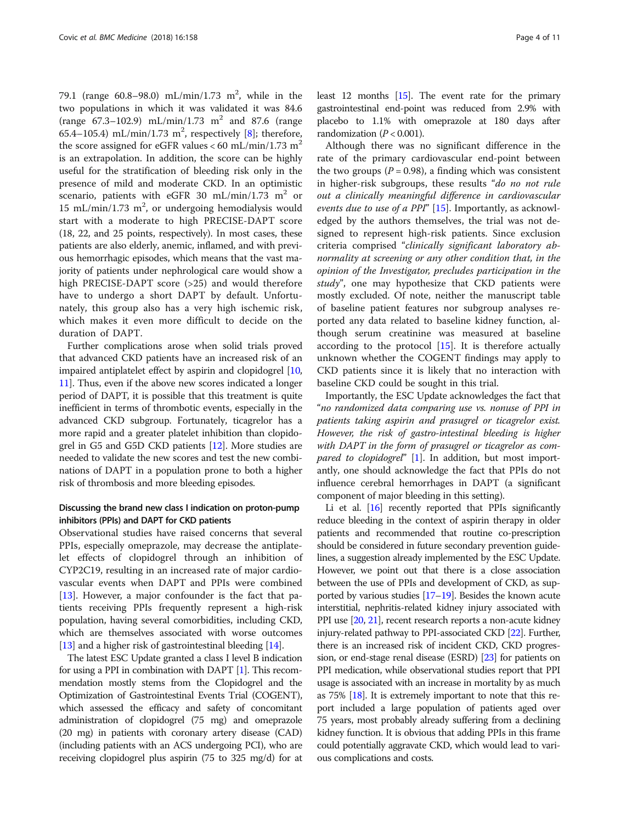79.1 (range  $60.8 - 98.0$ ) mL/min/1.73 m<sup>2</sup>, while in the two populations in which it was validated it was 84.6 (range  $67.3 - 102.9$ ) mL/min/1.73 m<sup>2</sup> and 87.6 (range 65.4–105.4) mL/min/1.73 m<sup>2</sup>, respectively [[8](#page-9-0)]; therefore, the score assigned for eGFR values < 60 mL/min/1.73 m<sup>2</sup> is an extrapolation. In addition, the score can be highly useful for the stratification of bleeding risk only in the presence of mild and moderate CKD. In an optimistic scenario, patients with eGFR 30 mL/min/1.73 m<sup>2</sup> or 15 mL/min/1.73  $m^2$ , or undergoing hemodialysis would start with a moderate to high PRECISE-DAPT score (18, 22, and 25 points, respectively). In most cases, these patients are also elderly, anemic, inflamed, and with previous hemorrhagic episodes, which means that the vast majority of patients under nephrological care would show a high PRECISE-DAPT score (>25) and would therefore have to undergo a short DAPT by default. Unfortunately, this group also has a very high ischemic risk, which makes it even more difficult to decide on the duration of DAPT.

Further complications arose when solid trials proved that advanced CKD patients have an increased risk of an impaired antiplatelet effect by aspirin and clopidogrel [[10](#page-9-0), [11](#page-9-0)]. Thus, even if the above new scores indicated a longer period of DAPT, it is possible that this treatment is quite inefficient in terms of thrombotic events, especially in the advanced CKD subgroup. Fortunately, ticagrelor has a more rapid and a greater platelet inhibition than clopidogrel in G5 and G5D CKD patients [[12](#page-9-0)]. More studies are needed to validate the new scores and test the new combinations of DAPT in a population prone to both a higher risk of thrombosis and more bleeding episodes.

# Discussing the brand new class I indication on proton-pump inhibitors (PPIs) and DAPT for CKD patients

Observational studies have raised concerns that several PPIs, especially omeprazole, may decrease the antiplatelet effects of clopidogrel through an inhibition of CYP2C19, resulting in an increased rate of major cardiovascular events when DAPT and PPIs were combined [[13\]](#page-9-0). However, a major confounder is the fact that patients receiving PPIs frequently represent a high-risk population, having several comorbidities, including CKD, which are themselves associated with worse outcomes [[13](#page-9-0)] and a higher risk of gastrointestinal bleeding [\[14\]](#page-9-0).

The latest ESC Update granted a class I level B indication for using a PPI in combination with DAPT [\[1\]](#page-9-0). This recommendation mostly stems from the Clopidogrel and the Optimization of Gastrointestinal Events Trial (COGENT), which assessed the efficacy and safety of concomitant administration of clopidogrel (75 mg) and omeprazole (20 mg) in patients with coronary artery disease (CAD) (including patients with an ACS undergoing PCI), who are receiving clopidogrel plus aspirin (75 to 325 mg/d) for at

least 12 months [\[15\]](#page-9-0). The event rate for the primary gastrointestinal end-point was reduced from 2.9% with placebo to 1.1% with omeprazole at 180 days after randomization  $(P < 0.001)$ .

Although there was no significant difference in the rate of the primary cardiovascular end-point between the two groups ( $P = 0.98$ ), a finding which was consistent in higher-risk subgroups, these results "do no not rule out a clinically meaningful difference in cardiovascular events due to use of a PPI" [[15](#page-9-0)]. Importantly, as acknowledged by the authors themselves, the trial was not designed to represent high-risk patients. Since exclusion criteria comprised "clinically significant laboratory abnormality at screening or any other condition that, in the opinion of the Investigator, precludes participation in the study", one may hypothesize that CKD patients were mostly excluded. Of note, neither the manuscript table of baseline patient features nor subgroup analyses reported any data related to baseline kidney function, although serum creatinine was measured at baseline according to the protocol [[15\]](#page-9-0). It is therefore actually unknown whether the COGENT findings may apply to CKD patients since it is likely that no interaction with baseline CKD could be sought in this trial.

Importantly, the ESC Update acknowledges the fact that "no randomized data comparing use vs. nonuse of PPI in patients taking aspirin and prasugrel or ticagrelor exist. However, the risk of gastro-intestinal bleeding is higher with DAPT in the form of prasugrel or ticagrelor as com-pared to clopidogrel" [\[1](#page-9-0)]. In addition, but most importantly, one should acknowledge the fact that PPIs do not influence cerebral hemorrhages in DAPT (a significant component of major bleeding in this setting).

Li et al. [\[16\]](#page-9-0) recently reported that PPIs significantly reduce bleeding in the context of aspirin therapy in older patients and recommended that routine co-prescription should be considered in future secondary prevention guidelines, a suggestion already implemented by the ESC Update. However, we point out that there is a close association between the use of PPIs and development of CKD, as supported by various studies  $[17–19]$  $[17–19]$  $[17–19]$ . Besides the known acute interstitial, nephritis-related kidney injury associated with PPI use [[20](#page-9-0), [21](#page-9-0)], recent research reports a non-acute kidney injury-related pathway to PPI-associated CKD [[22](#page-9-0)]. Further, there is an increased risk of incident CKD, CKD progression, or end-stage renal disease (ESRD) [\[23\]](#page-9-0) for patients on PPI medication, while observational studies report that PPI usage is associated with an increase in mortality by as much as 75% [\[18\]](#page-9-0). It is extremely important to note that this report included a large population of patients aged over 75 years, most probably already suffering from a declining kidney function. It is obvious that adding PPIs in this frame could potentially aggravate CKD, which would lead to various complications and costs.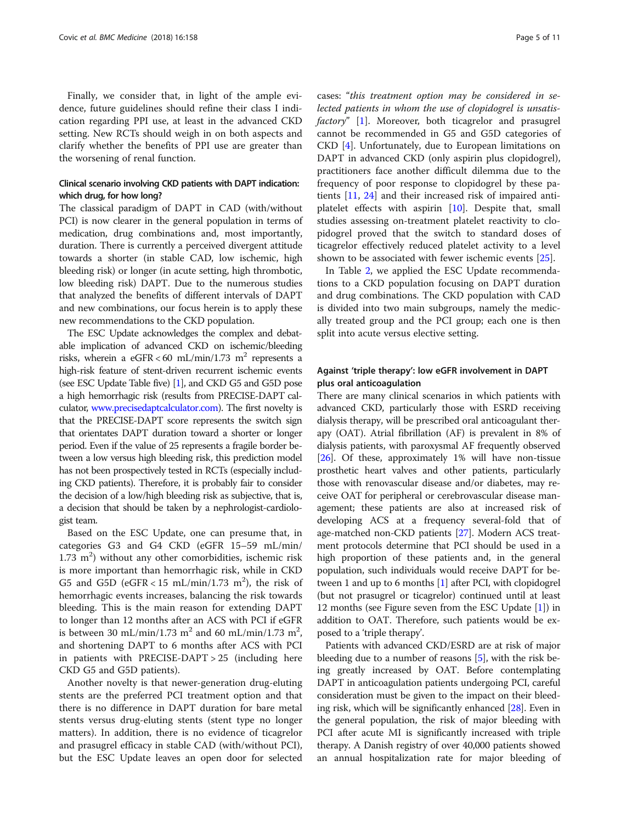Finally, we consider that, in light of the ample evidence, future guidelines should refine their class I indication regarding PPI use, at least in the advanced CKD setting. New RCTs should weigh in on both aspects and clarify whether the benefits of PPI use are greater than the worsening of renal function.

# Clinical scenario involving CKD patients with DAPT indication: which drug, for how long?

The classical paradigm of DAPT in CAD (with/without PCI) is now clearer in the general population in terms of medication, drug combinations and, most importantly, duration. There is currently a perceived divergent attitude towards a shorter (in stable CAD, low ischemic, high bleeding risk) or longer (in acute setting, high thrombotic, low bleeding risk) DAPT. Due to the numerous studies that analyzed the benefits of different intervals of DAPT and new combinations, our focus herein is to apply these new recommendations to the CKD population.

The ESC Update acknowledges the complex and debatable implication of advanced CKD on ischemic/bleeding risks, wherein a eGFR < 60 mL/min/1.73 m<sup>2</sup> represents a high-risk feature of stent-driven recurrent ischemic events (see ESC Update Table five) [\[1\]](#page-9-0), and CKD G5 and G5D pose a high hemorrhagic risk (results from PRECISE-DAPT calculator, [www.precisedaptcalculator.com\)](http://www.precisedaptcalculator.com). The first novelty is that the PRECISE-DAPT score represents the switch sign that orientates DAPT duration toward a shorter or longer period. Even if the value of 25 represents a fragile border between a low versus high bleeding risk, this prediction model has not been prospectively tested in RCTs (especially including CKD patients). Therefore, it is probably fair to consider the decision of a low/high bleeding risk as subjective, that is, a decision that should be taken by a nephrologist-cardiologist team.

Based on the ESC Update, one can presume that, in categories G3 and G4 CKD (eGFR 15–59 mL/min/  $1.73 \text{ m}^2$ ) without any other comorbidities, ischemic risk is more important than hemorrhagic risk, while in CKD G5 and G5D ( $eGFR < 15$  mL/min/1.73 m<sup>2</sup>), the risk of hemorrhagic events increases, balancing the risk towards bleeding. This is the main reason for extending DAPT to longer than 12 months after an ACS with PCI if eGFR is between 30 mL/min/1.73  $m^2$  and 60 mL/min/1.73  $m^2$ , and shortening DAPT to 6 months after ACS with PCI in patients with PRECISE-DAPT > 25 (including here CKD G5 and G5D patients).

Another novelty is that newer-generation drug-eluting stents are the preferred PCI treatment option and that there is no difference in DAPT duration for bare metal stents versus drug-eluting stents (stent type no longer matters). In addition, there is no evidence of ticagrelor and prasugrel efficacy in stable CAD (with/without PCI), but the ESC Update leaves an open door for selected

cases: "this treatment option may be considered in selected patients in whom the use of clopidogrel is unsatisfactory" [\[1](#page-9-0)]. Moreover, both ticagrelor and prasugrel cannot be recommended in G5 and G5D categories of CKD [[4\]](#page-9-0). Unfortunately, due to European limitations on DAPT in advanced CKD (only aspirin plus clopidogrel), practitioners face another difficult dilemma due to the frequency of poor response to clopidogrel by these patients [\[11,](#page-9-0) [24](#page-9-0)] and their increased risk of impaired antiplatelet effects with aspirin [\[10](#page-9-0)]. Despite that, small studies assessing on-treatment platelet reactivity to clopidogrel proved that the switch to standard doses of ticagrelor effectively reduced platelet activity to a level shown to be associated with fewer ischemic events [[25](#page-9-0)].

In Table [2,](#page-5-0) we applied the ESC Update recommendations to a CKD population focusing on DAPT duration and drug combinations. The CKD population with CAD is divided into two main subgroups, namely the medically treated group and the PCI group; each one is then split into acute versus elective setting.

# Against 'triple therapy': low eGFR involvement in DAPT plus oral anticoagulation

There are many clinical scenarios in which patients with advanced CKD, particularly those with ESRD receiving dialysis therapy, will be prescribed oral anticoagulant therapy (OAT). Atrial fibrillation (AF) is prevalent in 8% of dialysis patients, with paroxysmal AF frequently observed [[26](#page-9-0)]. Of these, approximately 1% will have non-tissue prosthetic heart valves and other patients, particularly those with renovascular disease and/or diabetes, may receive OAT for peripheral or cerebrovascular disease management; these patients are also at increased risk of developing ACS at a frequency several-fold that of age-matched non-CKD patients [[27](#page-9-0)]. Modern ACS treatment protocols determine that PCI should be used in a high proportion of these patients and, in the general population, such individuals would receive DAPT for between 1 and up to 6 months [[1\]](#page-9-0) after PCI, with clopidogrel (but not prasugrel or ticagrelor) continued until at least 12 months (see Figure seven from the ESC Update [[1](#page-9-0)]) in addition to OAT. Therefore, such patients would be exposed to a 'triple therapy'.

Patients with advanced CKD/ESRD are at risk of major bleeding due to a number of reasons [\[5\]](#page-9-0), with the risk being greatly increased by OAT. Before contemplating DAPT in anticoagulation patients undergoing PCI, careful consideration must be given to the impact on their bleeding risk, which will be significantly enhanced [[28](#page-9-0)]. Even in the general population, the risk of major bleeding with PCI after acute MI is significantly increased with triple therapy. A Danish registry of over 40,000 patients showed an annual hospitalization rate for major bleeding of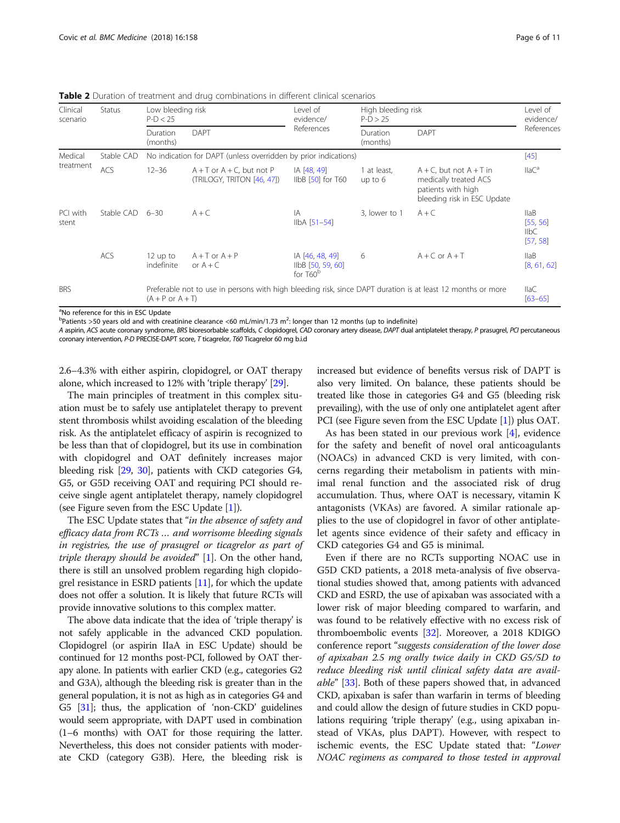<span id="page-5-0"></span>**Table 2** Duration of treatment and drug combinations in different clinical scenarios

| Clinical<br>scenario | Status     | Low bleeding risk<br>$P-D < 25$ |                                                                                                             | Level of<br>evidence/                              | High bleeding risk<br>$P-D > 25$ |                                                                                                            | Level of<br>evidence/                                   |
|----------------------|------------|---------------------------------|-------------------------------------------------------------------------------------------------------------|----------------------------------------------------|----------------------------------|------------------------------------------------------------------------------------------------------------|---------------------------------------------------------|
|                      |            | Duration<br>(months)            | <b>DAPT</b>                                                                                                 | References                                         | Duration<br>(months)             | <b>DAPT</b>                                                                                                | References                                              |
| Medical              | Stable CAD |                                 | No indication for DAPT (unless overridden by prior indications)                                             |                                                    |                                  |                                                                                                            | [45]                                                    |
| treatment            | <b>ACS</b> | $12 - 36$                       | $A + T$ or $A + C$ , but not P<br>(TRILOGY, TRITON [46, 47])                                                | IA [48, 49]<br>IIbB [50] for T60                   | 1 at least,<br>up to $6$         | $A + C$ , but not $A + T$ in<br>medically treated ACS<br>patients with high<br>bleeding risk in ESC Update | $IIaC^a$                                                |
| PCI with<br>stent    | Stable CAD | $6 - 30$                        | $A + C$                                                                                                     | IA<br>$IIbA [51-54]$                               | 3, lower to 1                    | $A + C$                                                                                                    | IIaB<br>[55, 56]<br>$I_{I}$ <sub>IlbC</sub><br>[57, 58] |
|                      | <b>ACS</b> | $12$ up to<br>indefinite        | $A + T$ or $A + P$<br>or $A + C$                                                                            | IA [46, 48, 49]<br>IIbB [50, 59, 60]<br>for $T60b$ | 6                                | $A + C$ or $A + T$                                                                                         | IIaB<br>[8, 61, 62]                                     |
| <b>BRS</b>           |            | $(A + P or A + T)$              | Preferable not to use in persons with high bleeding risk, since DAPT duration is at least 12 months or more |                                                    |                                  |                                                                                                            | IIaC<br>$[63 - 65]$                                     |

<sup>a</sup>No reference for this in ESC Update

<sup>b</sup>Patients >50 years old and with creatinine clearance <60 mL/min/1.73 m<sup>2</sup>: longer than 12 months (up to indefinite)

A aspirin, ACS acute coronary syndrome, BRS bioresorbable scaffolds, C clopidogrel, CAD coronary artery disease, DAPT dual antiplatelet therapy, P prasugrel, PCI percutaneous coronary intervention, P-D PRECISE-DAPT score, T ticagrelor, T60 Ticagrelor 60 mg b.i.d

2.6–4.3% with either aspirin, clopidogrel, or OAT therapy alone, which increased to 12% with 'triple therapy' [\[29](#page-9-0)].

The main principles of treatment in this complex situation must be to safely use antiplatelet therapy to prevent stent thrombosis whilst avoiding escalation of the bleeding risk. As the antiplatelet efficacy of aspirin is recognized to be less than that of clopidogrel, but its use in combination with clopidogrel and OAT definitely increases major bleeding risk [\[29,](#page-9-0) [30\]](#page-9-0), patients with CKD categories G4, G5, or G5D receiving OAT and requiring PCI should receive single agent antiplatelet therapy, namely clopidogrel (see Figure seven from the ESC Update [\[1](#page-9-0)]).

The ESC Update states that "in the absence of safety and efficacy data from RCTs … and worrisome bleeding signals in registries, the use of prasugrel or ticagrelor as part of triple therapy should be avoided"  $[1]$  $[1]$ . On the other hand, there is still an unsolved problem regarding high clopidogrel resistance in ESRD patients [[11\]](#page-9-0), for which the update does not offer a solution. It is likely that future RCTs will provide innovative solutions to this complex matter.

The above data indicate that the idea of 'triple therapy' is not safely applicable in the advanced CKD population. Clopidogrel (or aspirin IIaA in ESC Update) should be continued for 12 months post-PCI, followed by OAT therapy alone. In patients with earlier CKD (e.g., categories G2 and G3A), although the bleeding risk is greater than in the general population, it is not as high as in categories G4 and G5 [\[31\]](#page-9-0); thus, the application of 'non-CKD' guidelines would seem appropriate, with DAPT used in combination (1–6 months) with OAT for those requiring the latter. Nevertheless, this does not consider patients with moderate CKD (category G3B). Here, the bleeding risk is increased but evidence of benefits versus risk of DAPT is also very limited. On balance, these patients should be treated like those in categories G4 and G5 (bleeding risk prevailing), with the use of only one antiplatelet agent after PCI (see Figure seven from the ESC Update [\[1](#page-9-0)]) plus OAT.

As has been stated in our previous work [\[4](#page-9-0)], evidence for the safety and benefit of novel oral anticoagulants (NOACs) in advanced CKD is very limited, with concerns regarding their metabolism in patients with minimal renal function and the associated risk of drug accumulation. Thus, where OAT is necessary, vitamin K antagonists (VKAs) are favored. A similar rationale applies to the use of clopidogrel in favor of other antiplatelet agents since evidence of their safety and efficacy in CKD categories G4 and G5 is minimal.

Even if there are no RCTs supporting NOAC use in G5D CKD patients, a 2018 meta-analysis of five observational studies showed that, among patients with advanced CKD and ESRD, the use of apixaban was associated with a lower risk of major bleeding compared to warfarin, and was found to be relatively effective with no excess risk of thromboembolic events [\[32\]](#page-9-0). Moreover, a 2018 KDIGO conference report "suggests consideration of the lower dose of apixaban 2.5 mg orally twice daily in CKD G5/5D to reduce bleeding risk until clinical safety data are available" [\[33\]](#page-9-0). Both of these papers showed that, in advanced CKD, apixaban is safer than warfarin in terms of bleeding and could allow the design of future studies in CKD populations requiring 'triple therapy' (e.g., using apixaban instead of VKAs, plus DAPT). However, with respect to ischemic events, the ESC Update stated that: "Lower NOAC regimens as compared to those tested in approval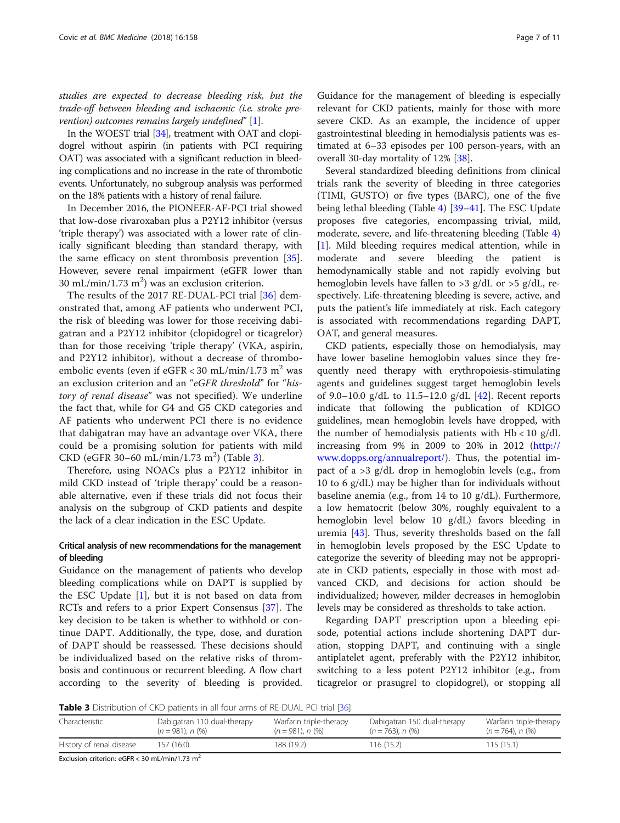studies are expected to decrease bleeding risk, but the trade-off between bleeding and ischaemic (i.e. stroke prevention) outcomes remains largely undefined"  $[1]$  $[1]$ .

In the WOEST trial [[34](#page-9-0)], treatment with OAT and clopidogrel without aspirin (in patients with PCI requiring OAT) was associated with a significant reduction in bleeding complications and no increase in the rate of thrombotic events. Unfortunately, no subgroup analysis was performed on the 18% patients with a history of renal failure.

In December 2016, the PIONEER-AF-PCI trial showed that low-dose rivaroxaban plus a P2Y12 inhibitor (versus 'triple therapy') was associated with a lower rate of clinically significant bleeding than standard therapy, with the same efficacy on stent thrombosis prevention [\[35](#page-9-0)]. However, severe renal impairment (eGFR lower than  $30 \text{ mL/min}/1.73 \text{ m}^2$ ) was an exclusion criterion.

The results of the 2017 RE-DUAL-PCI trial [[36\]](#page-9-0) demonstrated that, among AF patients who underwent PCI, the risk of bleeding was lower for those receiving dabigatran and a P2Y12 inhibitor (clopidogrel or ticagrelor) than for those receiving 'triple therapy' (VKA, aspirin, and P2Y12 inhibitor), without a decrease of thromboembolic events (even if  $eGFR < 30$  mL/min/1.73 m<sup>2</sup> was an exclusion criterion and an "eGFR threshold" for "history of renal disease" was not specified). We underline the fact that, while for G4 and G5 CKD categories and AF patients who underwent PCI there is no evidence that dabigatran may have an advantage over VKA, there could be a promising solution for patients with mild  $CKD$  (eGFR 30-60 mL/min/1.73 m<sup>2</sup>) (Table 3).

Therefore, using NOACs plus a P2Y12 inhibitor in mild CKD instead of 'triple therapy' could be a reasonable alternative, even if these trials did not focus their analysis on the subgroup of CKD patients and despite the lack of a clear indication in the ESC Update.

# Critical analysis of new recommendations for the management of bleeding

Guidance on the management of patients who develop bleeding complications while on DAPT is supplied by the ESC Update  $[1]$  $[1]$ , but it is not based on data from RCTs and refers to a prior Expert Consensus [\[37](#page-9-0)]. The key decision to be taken is whether to withhold or continue DAPT. Additionally, the type, dose, and duration of DAPT should be reassessed. These decisions should be individualized based on the relative risks of thrombosis and continuous or recurrent bleeding. A flow chart according to the severity of bleeding is provided.

Guidance for the management of bleeding is especially relevant for CKD patients, mainly for those with more severe CKD. As an example, the incidence of upper gastrointestinal bleeding in hemodialysis patients was estimated at 6–33 episodes per 100 person-years, with an overall 30-day mortality of 12% [\[38\]](#page-9-0).

Several standardized bleeding definitions from clinical trials rank the severity of bleeding in three categories (TIMI, GUSTO) or five types (BARC), one of the five being lethal bleeding (Table [4](#page-7-0)) [\[39](#page-9-0)–[41\]](#page-10-0). The ESC Update proposes five categories, encompassing trivial, mild, moderate, severe, and life-threatening bleeding (Table [4](#page-7-0)) [[1\]](#page-9-0). Mild bleeding requires medical attention, while in moderate and severe bleeding the patient is hemodynamically stable and not rapidly evolving but hemoglobin levels have fallen to >3 g/dL or >5 g/dL, respectively. Life-threatening bleeding is severe, active, and puts the patient's life immediately at risk. Each category is associated with recommendations regarding DAPT, OAT, and general measures.

CKD patients, especially those on hemodialysis, may have lower baseline hemoglobin values since they frequently need therapy with erythropoiesis-stimulating agents and guidelines suggest target hemoglobin levels of 9.0–10.0 g/dL to 11.5–12.0 g/dL [[42\]](#page-10-0). Recent reports indicate that following the publication of KDIGO guidelines, mean hemoglobin levels have dropped, with the number of hemodialysis patients with  $Hb < 10$  g/dL increasing from 9% in 2009 to 20% in 2012 [\(http://](http://www.dopps.org/annualreport/) [www.dopps.org/annualreport/\)](http://www.dopps.org/annualreport/). Thus, the potential impact of a >3 g/dL drop in hemoglobin levels (e.g., from 10 to 6 g/dL) may be higher than for individuals without baseline anemia (e.g., from 14 to 10 g/dL). Furthermore, a low hematocrit (below 30%, roughly equivalent to a hemoglobin level below 10 g/dL) favors bleeding in uremia [\[43](#page-10-0)]. Thus, severity thresholds based on the fall in hemoglobin levels proposed by the ESC Update to categorize the severity of bleeding may not be appropriate in CKD patients, especially in those with most advanced CKD, and decisions for action should be individualized; however, milder decreases in hemoglobin levels may be considered as thresholds to take action.

Regarding DAPT prescription upon a bleeding episode, potential actions include shortening DAPT duration, stopping DAPT, and continuing with a single antiplatelet agent, preferably with the P2Y12 inhibitor, switching to a less potent P2Y12 inhibitor (e.g., from ticagrelor or prasugrel to clopidogrel), or stopping all

Table 3 Distribution of CKD patients in all four arms of RE-DUAL PCI trial [\[36\]](#page-9-0)

| Characteristic           | Dabigatran 110 dual-therapy<br>$(n = 981)$ , n $(%$ ) | Warfarin triple-therapy<br>$(n = 981)$ , n $(%)$ | Dabigatran 150 dual-therapy<br>$(n = 763)$ , n $(%)$ | Warfarin triple-therapy<br>$(n = 764)$ , n $(\%)$ |
|--------------------------|-------------------------------------------------------|--------------------------------------------------|------------------------------------------------------|---------------------------------------------------|
| History of renal disease | 157 (16.0)                                            | 188 (19.2)                                       | 116 (15.2)                                           | 115 (15.1)                                        |

Exclusion criterion: eGFR < 30 mL/min/1.73 m<sup>2</sup>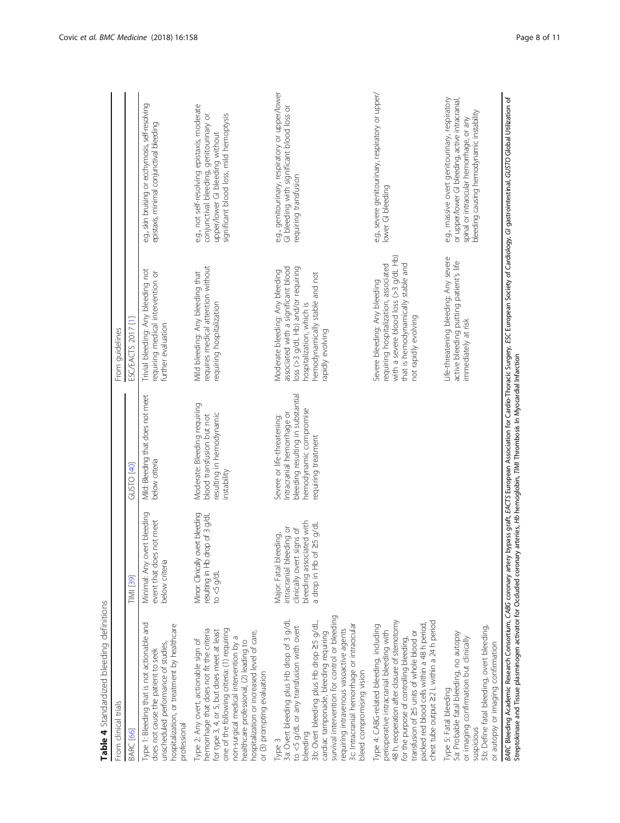<span id="page-7-0"></span>

| From clinical trials                                                                                                                                                                                                                                                                                                                                                    |                                                                                                                                        |                                                                                                                                                 | From guidelines                                                                                                                                                                                    |                                                                                                                                                                                            |
|-------------------------------------------------------------------------------------------------------------------------------------------------------------------------------------------------------------------------------------------------------------------------------------------------------------------------------------------------------------------------|----------------------------------------------------------------------------------------------------------------------------------------|-------------------------------------------------------------------------------------------------------------------------------------------------|----------------------------------------------------------------------------------------------------------------------------------------------------------------------------------------------------|--------------------------------------------------------------------------------------------------------------------------------------------------------------------------------------------|
| BARC [66]                                                                                                                                                                                                                                                                                                                                                               | <b>TIMI</b> [39]                                                                                                                       | GUSTO <sub>[40]</sub>                                                                                                                           | ESC/EACTS 2017 [1]                                                                                                                                                                                 |                                                                                                                                                                                            |
| Type 1: Bleeding that is not actionable and<br>hospitalization, or treatment by healthcare<br>unscheduled performance of studies,<br>does not cause the patient to seek<br>professional                                                                                                                                                                                 | Minimal: Any overt bleeding<br>event that does not meet<br>below criteria                                                              | Mild: Bleeding that does not meet<br>below criteria                                                                                             | Trivial bleeding: Any bleeding not<br>requiring medical intervention or<br>further evaluation                                                                                                      | e.g., skin bruising or ecchymosis, self-resolving<br>epistaxis, minimal conjunctival bleeding                                                                                              |
| hemorrhage that does not fit the criteria<br>one of the following criteria: (1) requiring<br>for type 3, 4, or 5, but does meet at least<br>hospitalization or increased level of care,<br>non-surgical medical intervention by a<br>Type 2: Any overt, actionable sign of<br>healthcare professional, (2) leading to<br>or (3) prompting evaluation                    | overt bleeding<br>resulting in Hb drop of 3 g/dL<br>Minor: Clinically<br>to $\lessdot$ g/d.                                            | Moderate: Bleeding requiring<br>resulting in hemodynamic<br>blood transfusion but not<br>instability                                            | requires medical attention without<br>Mild bleeding: Any bleeding that<br>requiring hospitalization                                                                                                | e.g., not self-resolving epistaxis, moderate<br>significant blood loss, mild hemoptysis<br>conjunctival bleeding, genitourinary or<br>upper/lower GI bleeding without                      |
| survival intervention for control or bleeding<br>3a: Overt bleeding plus Hb drop of 3 g/dL<br>3b: Overt bleeding plus Hb drop 25 g/dL,<br>3c: Intracranial hemorrhage or intraocular<br>to <5 g/dL or any transfusion with overt<br>requiring intravenous vasoactive agents<br>cardiac tamponade, bleeding requiring<br>bleed compromising vision<br>bleeding<br>Type 3 | bleeding associated with<br>a drop in Hb of ≥5 g/dL<br>intracranial bleeding or<br>clinically overt signs of<br>Major: Fatal bleeding, | bleeding resulting in substantial<br>hemodynamic compromise<br>Intracranial hemorrhage or<br>Severe or life-threatening:<br>requiring treatment | associated with a significant blood<br>loss (>3 g/dL Hb) and/or requiring<br>Moderate bleeding: Any bleeding<br>hemodynamically stable and not<br>hospitalization, which is<br><b>Bunpoe Apide</b> | e.g., genitourinary, respiratory or upper/lower<br>GI bleeding with significant blood loss or<br>requiring transfusion                                                                     |
| 48 h, reoperation after closure of sternotomy<br>chest tube output 22 L within a 24 h period<br>packed red blood cells within a 48 h period,<br>Type 4: CABG-related bleeding, including<br>perioperative intracranial bleeding with<br>transfusion of 25 units of whole blood or<br>for the purpose of controlling bleeding,                                           |                                                                                                                                        |                                                                                                                                                 | with a severe blood loss (>3 q/dL Hb)<br>that is hemodynamically stable and<br>requiring hospitalization, associated<br>Severe bleeding: Any bleeding<br>not rapidly evolving                      | e.g., severe genitourinary, respiratory or upper/<br>lower GI bleeding                                                                                                                     |
| 5b: Define fatal bleeding, overt bleeding,<br>5a: Probable fatal bleeding, no autopsy<br>or imaging confirmation but clinically<br>or autopsy or imaging confirmation<br>Type 5: Fatal bleeding<br>suspicious                                                                                                                                                           |                                                                                                                                        |                                                                                                                                                 | Life-threatening bleeding: Any severe<br>active bleeding putting patient's life<br>immediately at risk                                                                                             | e.g., massive overt genitourinary, respiratory<br>or upper/lower GI bleeding, active intracranial,<br>bleeding causing hemodynamic instability<br>spinal or intraocular hemorrhage, or any |
| Streptokinase and Tissue plasminogen activator for Occluded coronary arteries, Hb hemoglobin, TIMI Thrombosis In Myocardial Infarction<br>BARC Bleeding Academic Research Consortium, CABG coronary artery                                                                                                                                                              |                                                                                                                                        |                                                                                                                                                 |                                                                                                                                                                                                    | bypass graft, EACTS European Association for Cardio-Thoracic Surgery, ESC European Society of Cardiology, Gl gastrointestinal, GUSTO Global Utilization of                                 |

Table 4 Standardized bleeding definitions Table 4 Standardized bleeding definitions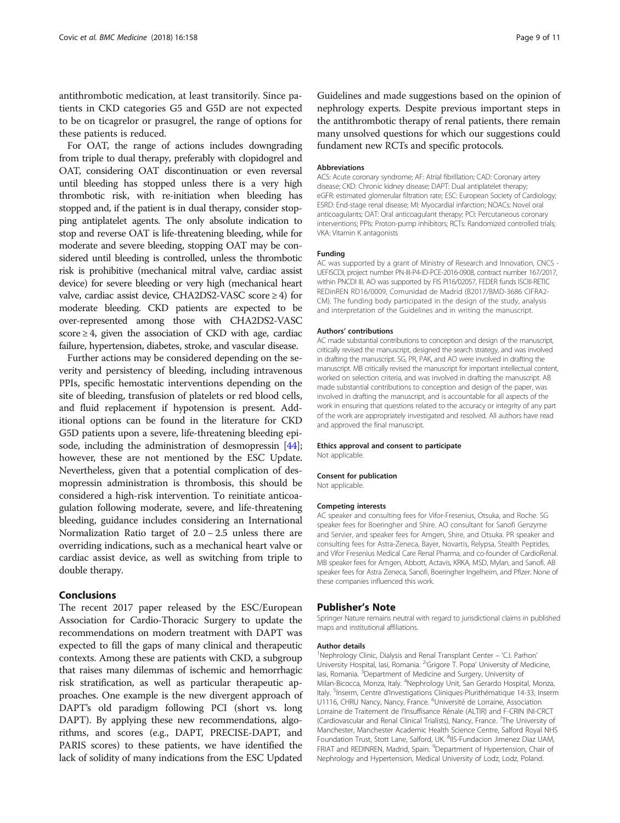antithrombotic medication, at least transitorily. Since patients in CKD categories G5 and G5D are not expected to be on ticagrelor or prasugrel, the range of options for these patients is reduced.

For OAT, the range of actions includes downgrading from triple to dual therapy, preferably with clopidogrel and OAT, considering OAT discontinuation or even reversal until bleeding has stopped unless there is a very high thrombotic risk, with re-initiation when bleeding has stopped and, if the patient is in dual therapy, consider stopping antiplatelet agents. The only absolute indication to stop and reverse OAT is life-threatening bleeding, while for moderate and severe bleeding, stopping OAT may be considered until bleeding is controlled, unless the thrombotic risk is prohibitive (mechanical mitral valve, cardiac assist device) for severe bleeding or very high (mechanical heart valve, cardiac assist device, CHA2DS2-VASC score ≥ 4) for moderate bleeding. CKD patients are expected to be over-represented among those with CHA2DS2-VASC score  $\geq 4$ , given the association of CKD with age, cardiac failure, hypertension, diabetes, stroke, and vascular disease.

Further actions may be considered depending on the severity and persistency of bleeding, including intravenous PPIs, specific hemostatic interventions depending on the site of bleeding, transfusion of platelets or red blood cells, and fluid replacement if hypotension is present. Additional options can be found in the literature for CKD G5D patients upon a severe, life-threatening bleeding epi-sode, including the administration of desmopressin [[44](#page-10-0)]; however, these are not mentioned by the ESC Update. Nevertheless, given that a potential complication of desmopressin administration is thrombosis, this should be considered a high-risk intervention. To reinitiate anticoagulation following moderate, severe, and life-threatening bleeding, guidance includes considering an International Normalization Ratio target of 2.0 − 2.5 unless there are overriding indications, such as a mechanical heart valve or cardiac assist device, as well as switching from triple to double therapy.

### Conclusions

The recent 2017 paper released by the ESC/European Association for Cardio-Thoracic Surgery to update the recommendations on modern treatment with DAPT was expected to fill the gaps of many clinical and therapeutic contexts. Among these are patients with CKD, a subgroup that raises many dilemmas of ischemic and hemorrhagic risk stratification, as well as particular therapeutic approaches. One example is the new divergent approach of DAPT's old paradigm following PCI (short vs. long DAPT). By applying these new recommendations, algorithms, and scores (e.g., DAPT, PRECISE-DAPT, and PARIS scores) to these patients, we have identified the lack of solidity of many indications from the ESC Updated

Guidelines and made suggestions based on the opinion of nephrology experts. Despite previous important steps in the antithrombotic therapy of renal patients, there remain many unsolved questions for which our suggestions could fundament new RCTs and specific protocols.

#### Abbreviations

ACS: Acute coronary syndrome; AF: Atrial fibrillation; CAD: Coronary artery disease; CKD: Chronic kidney disease; DAPT: Dual antiplatelet therapy; eGFR: estimated glomerular filtration rate; ESC: European Society of Cardiology; ESRD: End-stage renal disease; MI: Myocardial infarction; NOACs: Novel oral anticoagulants; OAT: Oral anticoagulant therapy; PCI: Percutaneous coronary interventions; PPIs: Proton-pump inhibitors; RCTs: Randomized controlled trials; VKA: Vitamin K antagonists

#### Funding

AC was supported by a grant of Ministry of Research and Innovation, CNCS - UEFISCDI, project number PN-III-P4-ID-PCE-2016-0908, contract number 167/2017, within PNCDI III. AO was supported by FIS PI16/02057, FEDER funds ISCIII-RETIC REDinREN RD16/0009, Comunidad de Madrid (B2017/BMD-3686 CIFRA2- CM). The funding body participated in the design of the study, analysis and interpretation of the Guidelines and in writing the manuscript.

#### Authors' contributions

AC made substantial contributions to conception and design of the manuscript, critically revised the manuscript, designed the search strategy, and was involved in drafting the manuscript. SG, PR, PAK, and AO were involved in drafting the manuscript. MB critically revised the manuscript for important intellectual content, worked on selection criteria, and was involved in drafting the manuscript. AB made substantial contributions to conception and design of the paper, was involved in drafting the manuscript, and is accountable for all aspects of the work in ensuring that questions related to the accuracy or integrity of any part of the work are appropriately investigated and resolved. All authors have read and approved the final manuscript.

# Ethics approval and consent to participate

Not applicable.

#### Consent for publication

Not applicable.

#### Competing interests

AC speaker and consulting fees for Vifor-Fresenius, Otsuka, and Roche. SG speaker fees for Boeringher and Shire. AO consultant for Sanofi Genzyme and Servier, and speaker fees for Amgen, Shire, and Otsuka. PR speaker and consulting fees for Astra-Zeneca, Bayer, Novartis, Relypsa, Stealth Peptides, and Vifor Fresenius Medical Care Renal Pharma, and co-founder of CardioRenal. MB speaker fees for Amgen, Abbott, Actavis, KRKA, MSD, Mylan, and Sanofi. AB speaker fees for Astra Zeneca, Sanofi, Boeringher Ingelheim, and Pfizer. None of these companies influenced this work.

#### Publisher's Note

Springer Nature remains neutral with regard to jurisdictional claims in published maps and institutional affiliations.

#### Author details

<sup>1</sup>Nephrology Clinic, Dialysis and Renal Transplant Center - 'C.I. Parhon' University Hospital, Iasi, Romania. <sup>2</sup>'Grigore T. Popa' University of Medicine lasi, Romania. <sup>3</sup>Department of Medicine and Surgery, University of Milan-Bicocca, Monza, Italy. <sup>4</sup>Nephrology Unit, San Gerardo Hospital, Monza Italy. <sup>5</sup>Inserm, Centre d'Investigations Cliniques-Plurithématique 14-33, Inserm U1116, CHRU Nancy, Nancy, France. <sup>6</sup>Université de Lorraine, Association Lorraine de Traitement de l'Insuffisance Rénale (ALTIR) and F-CRIN INI-CRCT (Cardiovascular and Renal Clinical Trialists), Nancy, France. <sup>7</sup>The University of Manchester, Manchester Academic Health Science Centre, Salford Royal NHS Foundation Trust, Stott Lane, Salford, UK. <sup>8</sup>IIS-Fundacion Jimenez Diaz UAM FRIAT and REDINREN, Madrid, Spain. <sup>9</sup>Department of Hypertension, Chair of Nephrology and Hypertension, Medical University of Lodz, Lodz, Poland.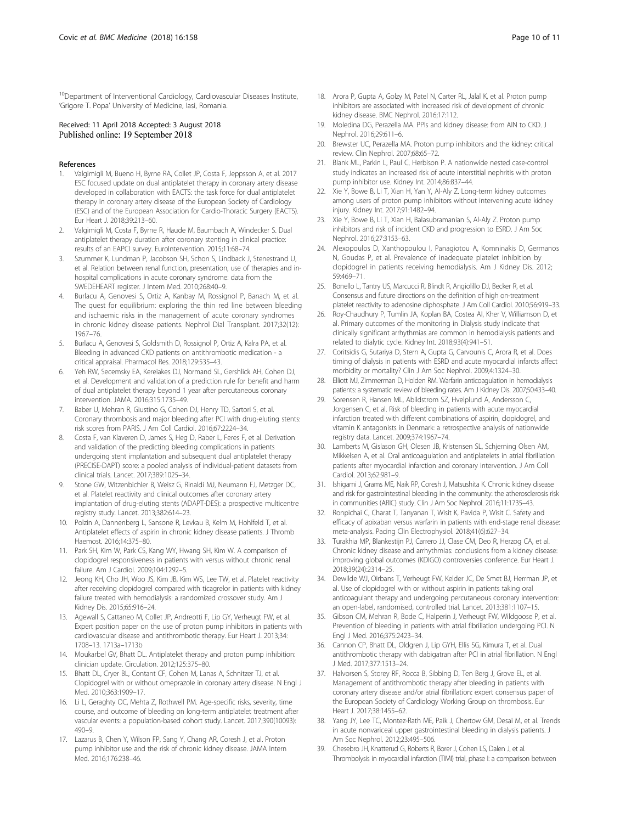<span id="page-9-0"></span><sup>10</sup>Department of Interventional Cardiology, Cardiovascular Diseases Institute, 'Grigore T. Popa' University of Medicine, Iasi, Romania.

#### Received: 11 April 2018 Accepted: 3 August 2018 Published online: 19 September 2018

#### References

- 1. Valgimigli M, Bueno H, Byrne RA, Collet JP, Costa F, Jeppsson A, et al. 2017 ESC focused update on dual antiplatelet therapy in coronary artery disease developed in collaboration with EACTS: the task force for dual antiplatelet therapy in coronary artery disease of the European Society of Cardiology (ESC) and of the European Association for Cardio-Thoracic Surgery (EACTS). Eur Heart J. 2018;39:213–60.
- 2. Valgimigli M, Costa F, Byrne R, Haude M, Baumbach A, Windecker S. Dual antiplatelet therapy duration after coronary stenting in clinical practice: results of an EAPCI survey. EuroIntervention. 2015;11:68–74.
- 3. Szummer K, Lundman P, Jacobson SH, Schon S, Lindback J, Stenestrand U, et al. Relation between renal function, presentation, use of therapies and inhospital complications in acute coronary syndrome: data from the SWEDEHEART register. J Intern Med. 2010;268:40–9.
- Burlacu A, Genovesi S, Ortiz A, Kanbay M, Rossignol P, Banach M, et al. The quest for equilibrium: exploring the thin red line between bleeding and ischaemic risks in the management of acute coronary syndromes in chronic kidney disease patients. Nephrol Dial Transplant. 2017;32(12): 1967–76.
- 5. Burlacu A, Genovesi S, Goldsmith D, Rossignol P, Ortiz A, Kalra PA, et al. Bleeding in advanced CKD patients on antithrombotic medication - a critical appraisal. Pharmacol Res. 2018;129:535–43.
- 6. Yeh RW, Secemsky EA, Kereiakes DJ, Normand SL, Gershlick AH, Cohen DJ, et al. Development and validation of a prediction rule for benefit and harm of dual antiplatelet therapy beyond 1 year after percutaneous coronary intervention. JAMA. 2016;315:1735–49.
- 7. Baber U, Mehran R, Giustino G, Cohen DJ, Henry TD, Sartori S, et al. Coronary thrombosis and major bleeding after PCI with drug-eluting stents: risk scores from PARIS. J Am Coll Cardiol. 2016;67:2224–34.
- Costa F, van Klaveren D, James S, Heg D, Raber L, Feres F, et al. Derivation and validation of the predicting bleeding complications in patients undergoing stent implantation and subsequent dual antiplatelet therapy (PRECISE-DAPT) score: a pooled analysis of individual-patient datasets from clinical trials. Lancet. 2017;389:1025–34.
- 9. Stone GW, Witzenbichler B, Weisz G, Rinaldi MJ, Neumann FJ, Metzger DC, et al. Platelet reactivity and clinical outcomes after coronary artery implantation of drug-eluting stents (ADAPT-DES): a prospective multicentre registry study. Lancet. 2013;382:614–23.
- 10. Polzin A, Dannenberg L, Sansone R, Levkau B, Kelm M, Hohlfeld T, et al. Antiplatelet effects of aspirin in chronic kidney disease patients. J Thromb Haemost. 2016;14:375–80.
- 11. Park SH, Kim W, Park CS, Kang WY, Hwang SH, Kim W. A comparison of clopidogrel responsiveness in patients with versus without chronic renal failure. Am J Cardiol. 2009;104:1292–5.
- 12. Jeong KH, Cho JH, Woo JS, Kim JB, Kim WS, Lee TW, et al. Platelet reactivity after receiving clopidogrel compared with ticagrelor in patients with kidney failure treated with hemodialysis: a randomized crossover study. Am J Kidney Dis. 2015;65:916–24.
- 13. Agewall S, Cattaneo M, Collet JP, Andreotti F, Lip GY, Verheugt FW, et al. Expert position paper on the use of proton pump inhibitors in patients with cardiovascular disease and antithrombotic therapy. Eur Heart J. 2013;34: 1708–13. 1713a–1713b
- 14. Moukarbel GV, Bhatt DL. Antiplatelet therapy and proton pump inhibition: clinician update. Circulation. 2012;125:375–80.
- 15. Bhatt DL, Cryer BL, Contant CF, Cohen M, Lanas A, Schnitzer TJ, et al. Clopidogrel with or without omeprazole in coronary artery disease. N Engl J Med. 2010;363:1909–17.
- 16. Li L, Geraghty OC, Mehta Z, Rothwell PM. Age-specific risks, severity, time course, and outcome of bleeding on long-term antiplatelet treatment after vascular events: a population-based cohort study. Lancet. 2017;390(10093): 490–9.
- 17. Lazarus B, Chen Y, Wilson FP, Sang Y, Chang AR, Coresh J, et al. Proton pump inhibitor use and the risk of chronic kidney disease. JAMA Intern Med. 2016;176:238–46.
- 18. Arora P, Gupta A, Golzy M, Patel N, Carter RL, Jalal K, et al. Proton pump inhibitors are associated with increased risk of development of chronic kidney disease. BMC Nephrol. 2016;17:112.
- 19. Moledina DG, Perazella MA. PPIs and kidney disease: from AIN to CKD. J Nephrol. 2016;29:611–6.
- 20. Brewster UC, Perazella MA. Proton pump inhibitors and the kidney: critical review. Clin Nephrol. 2007;68:65–72.
- 21. Blank ML, Parkin L, Paul C, Herbison P. A nationwide nested case-control study indicates an increased risk of acute interstitial nephritis with proton pump inhibitor use. Kidney Int. 2014;86:837–44.
- 22. Xie Y, Bowe B, Li T, Xian H, Yan Y, Al-Aly Z. Long-term kidney outcomes among users of proton pump inhibitors without intervening acute kidney injury. Kidney Int. 2017;91:1482–94.
- 23. Xie Y, Bowe B, Li T, Xian H, Balasubramanian S, Al-Aly Z. Proton pump inhibitors and risk of incident CKD and progression to ESRD. J Am Soc Nephrol. 2016;27:3153–63.
- 24. Alexopoulos D, Xanthopoulou I, Panagiotou A, Komninakis D, Germanos N, Goudas P, et al. Prevalence of inadequate platelet inhibition by clopidogrel in patients receiving hemodialysis. Am J Kidney Dis. 2012; 59:469–71.
- 25. Bonello L, Tantry US, Marcucci R, Blindt R, Angiolillo DJ, Becker R, et al. Consensus and future directions on the definition of high on-treatment platelet reactivity to adenosine diphosphate. J Am Coll Cardiol. 2010;56:919–33.
- 26. Roy-Chaudhury P, Tumlin JA, Koplan BA, Costea AI, Kher V, Williamson D, et al. Primary outcomes of the monitoring in Dialysis study indicate that clinically significant arrhythmias are common in hemodialysis patients and related to dialytic cycle. Kidney Int. 2018;93(4):941–51.
- 27. Coritsidis G, Sutariya D, Stern A, Gupta G, Carvounis C, Arora R, et al. Does timing of dialysis in patients with ESRD and acute myocardial infarcts affect morbidity or mortality? Clin J Am Soc Nephrol. 2009;4:1324–30.
- 28. Elliott MJ, Zimmerman D, Holden RM. Warfarin anticoagulation in hemodialysis patients: a systematic review of bleeding rates. Am J Kidney Dis. 2007;50:433–40.
- 29. Sorensen R, Hansen ML, Abildstrom SZ, Hvelplund A, Andersson C, Jorgensen C, et al. Risk of bleeding in patients with acute myocardial infarction treated with different combinations of aspirin, clopidogrel, and vitamin K antagonists in Denmark: a retrospective analysis of nationwide registry data. Lancet. 2009;374:1967–74.
- 30. Lamberts M, Gislason GH, Olesen JB, Kristensen SL, Schjerning Olsen AM, Mikkelsen A, et al. Oral anticoagulation and antiplatelets in atrial fibrillation patients after myocardial infarction and coronary intervention. J Am Coll Cardiol. 2013;62:981–9.
- 31. Ishigami J, Grams ME, Naik RP, Coresh J, Matsushita K. Chronic kidney disease and risk for gastrointestinal bleeding in the community: the atherosclerosis risk in communities (ARIC) study. Clin J Am Soc Nephrol. 2016;11:1735–43.
- 32. Ronpichai C, Charat T, Tanyanan T, Wisit K, Pavida P, Wisit C. Safety and efficacy of apixaban versus warfarin in patients with end-stage renal disease: meta-analysis. Pacing Clin Electrophysiol. 2018;41(6):627–34.
- 33. Turakhia MP, Blankestijn PJ, Carrero JJ, Clase CM, Deo R, Herzog CA, et al. Chronic kidney disease and arrhythmias: conclusions from a kidney disease: improving global outcomes (KDIGO) controversies conference. Eur Heart J. 2018;39(24):2314–25.
- 34. Dewilde WJ, Oirbans T, Verheugt FW, Kelder JC, De Smet BJ, Herrman JP, et al. Use of clopidogrel with or without aspirin in patients taking oral anticoagulant therapy and undergoing percutaneous coronary intervention: an open-label, randomised, controlled trial. Lancet. 2013;381:1107–15.
- 35. Gibson CM, Mehran R, Bode C, Halperin J, Verheugt FW, Wildgoose P, et al. Prevention of bleeding in patients with atrial fibrillation undergoing PCI. N Engl J Med. 2016;375:2423–34.
- 36. Cannon CP, Bhatt DL, Oldgren J, Lip GYH, Ellis SG, Kimura T, et al. Dual antithrombotic therapy with dabigatran after PCI in atrial fibrillation. N Engl J Med. 2017;377:1513–24.
- 37. Halvorsen S, Storey RF, Rocca B, Sibbing D, Ten Berg J, Grove EL, et al. Management of antithrombotic therapy after bleeding in patients with coronary artery disease and/or atrial fibrillation: expert consensus paper of the European Society of Cardiology Working Group on thrombosis. Eur Heart J. 2017;38:1455–62.
- 38. Yang JY, Lee TC, Montez-Rath ME, Paik J, Chertow GM, Desai M, et al. Trends in acute nonvariceal upper gastrointestinal bleeding in dialysis patients. J Am Soc Nephrol. 2012;23:495–506.
- 39. Chesebro JH, Knatterud G, Roberts R, Borer J, Cohen LS, Dalen J, et al. Thrombolysis in myocardial infarction (TIMI) trial, phase I: a comparison between